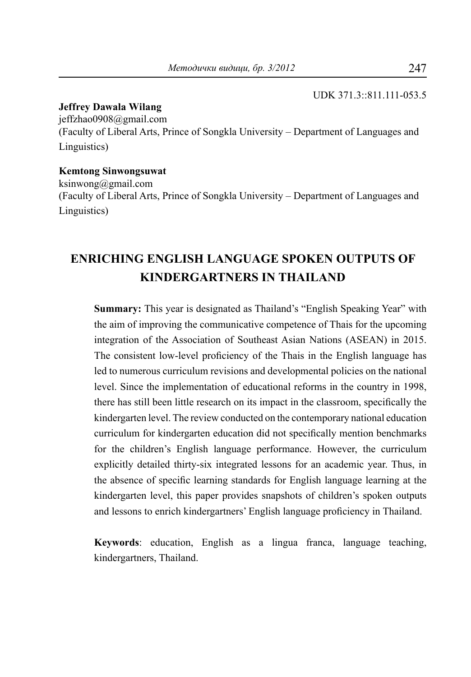#### UDK 371.3::811.111-053.5

#### **Jeffrey Dawala Wilang**

[jeffzhao0908@gmail.com](mailto:jeffzhao0908@gmail.com) (Faculty of Liberal Arts, Prince of Songkla University – Department of Languages and Linguistics)

#### **Kemtong Sinwongsuwat**

[ksinwong@gmail.com](mailto:ksinwong@gmail.com) (Faculty of Liberal Arts, Prince of Songkla University – Department of Languages and Linguistics)

# **ENRICHING ENGLISH LANGUAGE SPOKEN OUTPUTS OF KINDERGARTNERS IN THAILAND**

**Summary:** This year is designated as Thailand's "English Speaking Year" with the aim of improving the communicative competence of Thais for the upcoming integration of the Association of Southeast Asian Nations (ASEAN) in 2015. The consistent low-level proficiency of the Thais in the English language has led to numerous curriculum revisions and developmental policies on the national level. Since the implementation of educational reforms in the country in 1998, there has still been little research on its impact in the classroom, specifically the kindergarten level. The review conducted on the contemporary national education curriculum for kindergarten education did not specifically mention benchmarks for the children's English language performance. However, the curriculum explicitly detailed thirty-six integrated lessons for an academic year. Thus, in the absence of specific learning standards for English language learning at the kindergarten level, this paper provides snapshots of children's spoken outputs and lessons to enrich kindergartners' English language proficiency in Thailand.

**Keywords**: education, English as a lingua franca, language teaching, kindergartners, Thailand.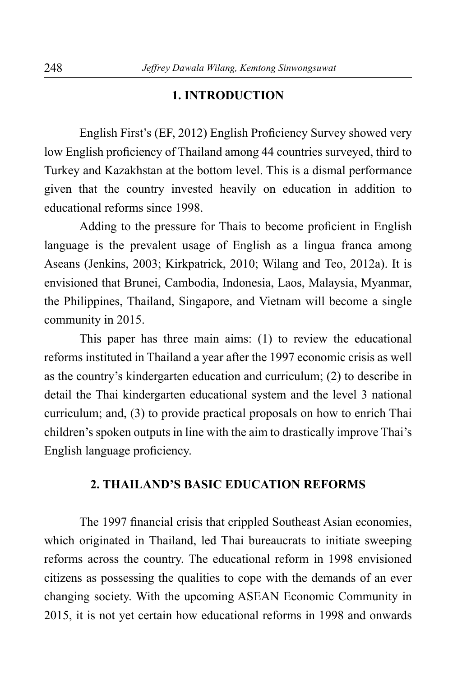### **1. INTRODUCTION**

English First's (EF, 2012) English Proficiency Survey showed very low English proficiency of Thailand among 44 countries surveyed, third to Turkey and Kazakhstan at the bottom level. This is a dismal performance given that the country invested heavily on education in addition to educational reforms since 1998.

Adding to the pressure for Thais to become proficient in English language is the prevalent usage of English as a lingua franca among Aseans (Jenkins, 2003; Kirkpatrick, 2010; Wilang and Teo, 2012a). It is envisioned that Brunei, Cambodia, Indonesia, Laos, Malaysia, Myanmar, the Philippines, Thailand, Singapore, and Vietnam will become a single community in 2015.

This paper has three main aims: (1) to review the educational reforms instituted in Thailand a year after the 1997 economic crisis as well as the country's kindergarten education and curriculum; (2) to describe in detail the Thai kindergarten educational system and the level 3 national curriculum; and, (3) to provide practical proposals on how to enrich Thai children's spoken outputs in line with the aim to drastically improve Thai's English language proficiency.

### **2. THAILAND'S BASIC EDUCATION REFORMS**

The 1997 financial crisis that crippled Southeast Asian economies, which originated in Thailand, led Thai bureaucrats to initiate sweeping reforms across the country. The educational reform in 1998 envisioned citizens as possessing the qualities to cope with the demands of an ever changing society. With the upcoming ASEAN Economic Community in 2015, it is not yet certain how educational reforms in 1998 and onwards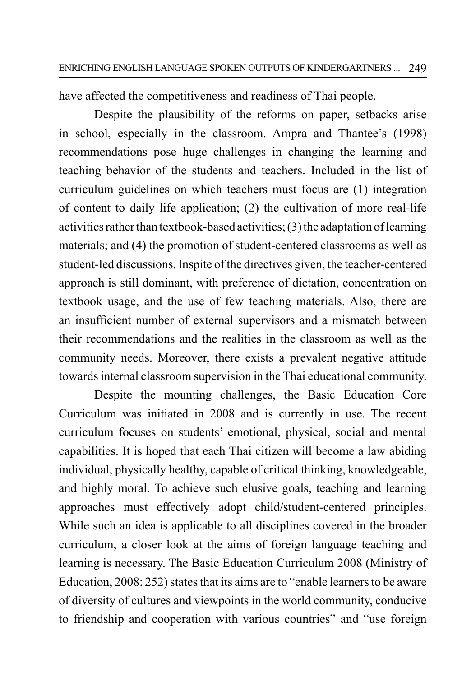have affected the competitiveness and readiness of Thai people.

Despite the plausibility of the reforms on paper, setbacks arise in school, especially in the classroom. Ampra and Thantee's (1998) recommendations pose huge challenges in changing the learning and teaching behavior of the students and teachers. Included in the list of curriculum guidelines on which teachers must focus are (1) integration of content to daily life application; (2) the cultivation of more real-life activities rather than textbook-based activities; (3) the adaptation of learning materials; and (4) the promotion of student-centered classrooms as well as student-led discussions. Inspite of the directives given, the teacher-centered approach is still dominant, with preference of dictation, concentration on textbook usage, and the use of few teaching materials. Also, there are an insufficient number of external supervisors and a mismatch between their recommendations and the realities in the classroom as well as the community needs. Moreover, there exists a prevalent negative attitude towards internal classroom supervision in the Thai educational community.

Despite the mounting challenges, the Basic Education Core Curriculum was initiated in 2008 and is currently in use. The recent curriculum focuses on students' emotional, physical, social and mental capabilities. It is hoped that each Thai citizen will become a law abiding individual, physically healthy, capable of critical thinking, knowledgeable, and highly moral. To achieve such elusive goals, teaching and learning approaches must effectively adopt child/student-centered principles. While such an idea is applicable to all disciplines covered in the broader curriculum, a closer look at the aims of foreign language teaching and learning is necessary. The Basic Education Curriculum 2008 (Ministry of Education, 2008: 252) states that its aims are to "enable learners to be aware of diversity of cultures and viewpoints in the world community, conducive to friendship and cooperation with various countries" and "use foreign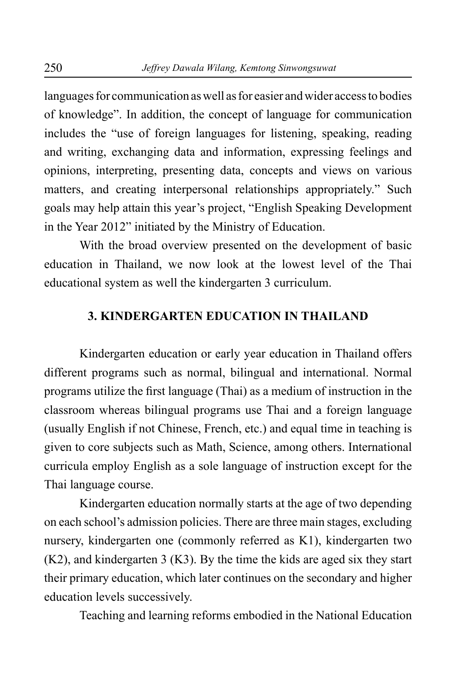languages for communication as well as for easier and wider access to bodies of knowledge". In addition, the concept of language for communication includes the "use of foreign languages for listening, speaking, reading and writing, exchanging data and information, expressing feelings and opinions, interpreting, presenting data, concepts and views on various matters, and creating interpersonal relationships appropriately." Such goals may help attain this year's project, "English Speaking Development in the Year 2012" initiated by the Ministry of Education.

With the broad overview presented on the development of basic education in Thailand, we now look at the lowest level of the Thai educational system as well the kindergarten 3 curriculum.

### **3. KINDERGARTEN EDUCATION IN THAILAND**

Kindergarten education or early year education in Thailand offers different programs such as normal, bilingual and international. Normal programs utilize the first language (Thai) as a medium of instruction in the classroom whereas bilingual programs use Thai and a foreign language (usually English if not Chinese, French, etc.) and equal time in teaching is given to core subjects such as Math, Science, among others. International curricula employ English as a sole language of instruction except for the Thai language course.

Kindergarten education normally starts at the age of two depending on each school's admission policies. There are three main stages, excluding nursery, kindergarten one (commonly referred as K1), kindergarten two (K2), and kindergarten 3 (K3). By the time the kids are aged six they start their primary education, which later continues on the secondary and higher education levels successively.

Teaching and learning reforms embodied in the National Education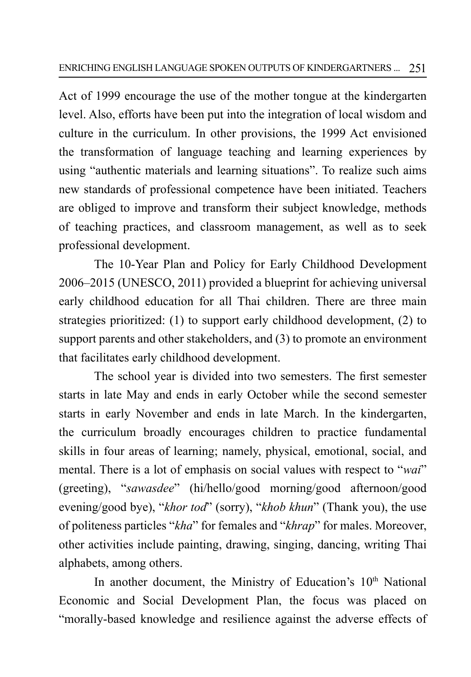Act of 1999 encourage the use of the mother tongue at the kindergarten level. Also, efforts have been put into the integration of local wisdom and culture in the curriculum. In other provisions, the 1999 Act envisioned the transformation of language teaching and learning experiences by using "authentic materials and learning situations". To realize such aims new standards of professional competence have been initiated. Teachers are obliged to improve and transform their subject knowledge, methods of teaching practices, and classroom management, as well as to seek professional development.

The 10-Year Plan and Policy for Early Childhood Development 2006–2015 (UNESCO, 2011) provided a blueprint for achieving universal early childhood education for all Thai children. There are three main strategies prioritized: (1) to support early childhood development, (2) to support parents and other stakeholders, and (3) to promote an environment that facilitates early childhood development.

The school year is divided into two semesters. The first semester starts in late May and ends in early October while the second semester starts in early November and ends in late March. In the kindergarten, the curriculum broadly encourages children to practice fundamental skills in four areas of learning; namely, physical, emotional, social, and mental. There is a lot of emphasis on social values with respect to "*wai*" (greeting), "*sawasdee*" (hi/hello/good morning/good afternoon/good evening/good bye), "*khor tod*" (sorry), "*khob khun*" (Thank you), the use of politeness particles "*kha*" for females and "*khrap*" for males. Moreover, other activities include painting, drawing, singing, dancing, writing Thai alphabets, among others.

In another document, the Ministry of Education's 10<sup>th</sup> National Economic and Social Development Plan, the focus was placed on "morally-based knowledge and resilience against the adverse effects of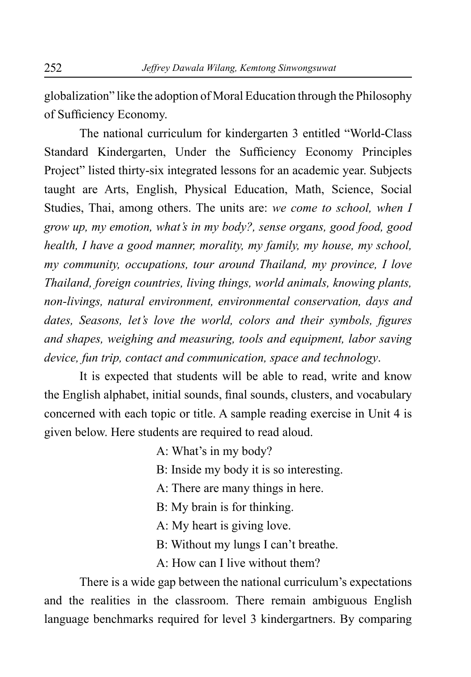globalization" like the adoption of Moral Education through the Philosophy of Sufficiency Economy.

The national curriculum for kindergarten 3 entitled "World-Class Standard Kindergarten, Under the Sufficiency Economy Principles Project" listed thirty-six integrated lessons for an academic year. Subjects taught are Arts, English, Physical Education, Math, Science, Social Studies, Thai, among others. The units are: *we come to school, when I grow up, my emotion, what's in my body?, sense organs, good food, good health, I have a good manner, morality, my family, my house, my school, my community, occupations, tour around Thailand, my province, I love Thailand, foreign countries, living things, world animals, knowing plants, non-livings, natural environment, environmental conservation, days and dates, Seasons, let's love the world, colors and their symbols, figures and shapes, weighing and measuring, tools and equipment, labor saving device, fun trip, contact and communication, space and technology*.

It is expected that students will be able to read, write and know the English alphabet, initial sounds, final sounds, clusters, and vocabulary concerned with each topic or title. A sample reading exercise in Unit 4 is given below. Here students are required to read aloud.

A: What's in my body?

- B: Inside my body it is so interesting.
- A: There are many things in here.
- B: My brain is for thinking.
- A: My heart is giving love.
- B: Without my lungs I can't breathe.
- A: How can I live without them?

There is a wide gap between the national curriculum's expectations and the realities in the classroom. There remain ambiguous English language benchmarks required for level 3 kindergartners. By comparing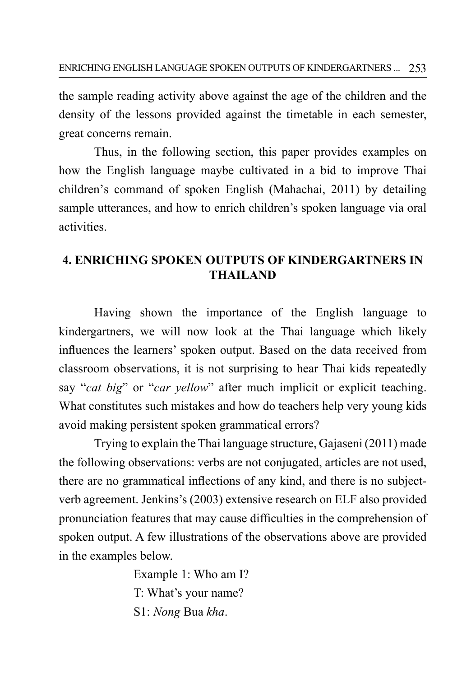the sample reading activity above against the age of the children and the density of the lessons provided against the timetable in each semester, great concerns remain.

Thus, in the following section, this paper provides examples on how the English language maybe cultivated in a bid to improve Thai children's command of spoken English (Mahachai, 2011) by detailing sample utterances, and how to enrich children's spoken language via oral activities.

## **4. ENRICHING SPOKEN OUTPUTS OF KINDERGARTNERS IN THAILAND**

Having shown the importance of the English language to kindergartners, we will now look at the Thai language which likely influences the learners' spoken output. Based on the data received from classroom observations, it is not surprising to hear Thai kids repeatedly say "*cat big*" or "*car yellow*" after much implicit or explicit teaching. What constitutes such mistakes and how do teachers help very young kids avoid making persistent spoken grammatical errors?

Trying to explain the Thai language structure, Gajaseni (2011) made the following observations: verbs are not conjugated, articles are not used, there are no grammatical inflections of any kind, and there is no subjectverb agreement. Jenkins's (2003) extensive research on ELF also provided pronunciation features that may cause difficulties in the comprehension of spoken output. A few illustrations of the observations above are provided in the examples below.

> Example 1: Who am I? T: What's your name? S1: *Nong* Bua *kha*.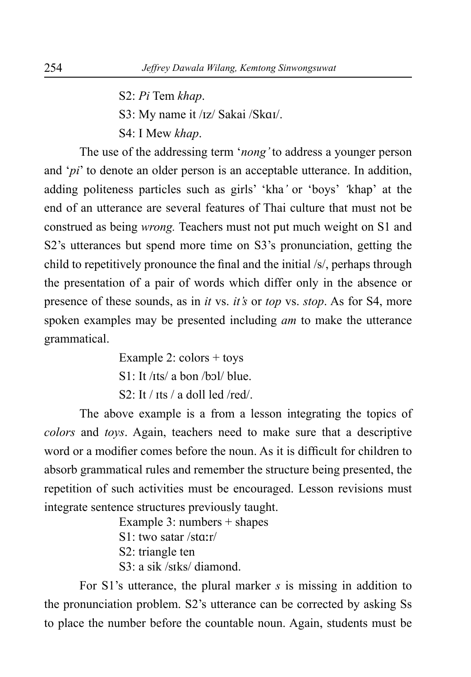S2: *Pi* Tem *khap*.

S3: My name it /ɪz/ Sakai /Skɑɪ/.

S4: I Mew *khap*.

The use of the addressing term '*nong'* to address a younger person and '*pi*' to denote an older person is an acceptable utterance. In addition, adding politeness particles such as girls' 'kha*'* or 'boys' *'*khap' at the end of an utterance are several features of Thai culture that must not be construed as being *wrong.* Teachers must not put much weight on S1 and S2's utterances but spend more time on S3's pronunciation, getting the child to repetitively pronounce the final and the initial /s/, perhaps through the presentation of a pair of words which differ only in the absence or presence of these sounds, as in *it* vs. *it's* or *top* vs. *stop*. As for S4, more spoken examples may be presented including *am* to make the utterance grammatical.

> Example 2:  $\text{colors} + \text{toys}$  $S1$ : It / $its/$  a bon /bɔl/ blue.  $S2 \cdot It / its / a$  doll led /red/.

The above example is a from a lesson integrating the topics of *colors* and *toys*. Again, teachers need to make sure that a descriptive word or a modifier comes before the noun. As it is difficult for children to absorb grammatical rules and remember the structure being presented, the repetition of such activities must be encouraged. Lesson revisions must integrate sentence structures previously taught.

Example 3: numbers + shapes

S1: two satar /stɑːr/

S2: triangle ten

S3: a sik /sɪks/ diamond.

For S1's utterance, the plural marker *s* is missing in addition to the pronunciation problem. S2's utterance can be corrected by asking Ss to place the number before the countable noun. Again, students must be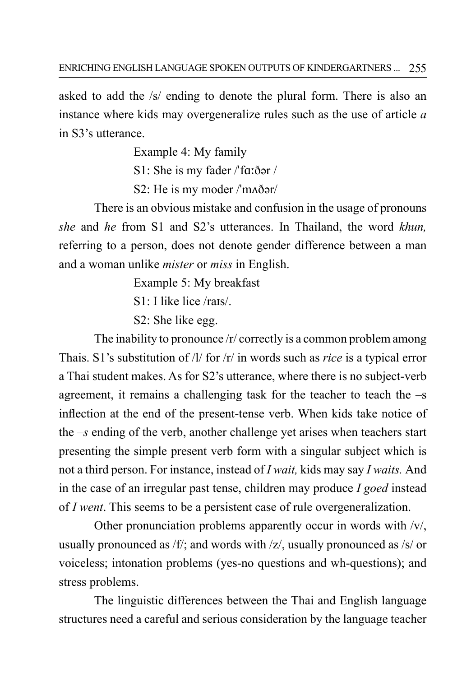asked to add the /s/ ending to denote the plural form. There is also an instance where kids may overgeneralize rules such as the use of article *a*  in S3's utterance.

> Example 4: My family S1: She is my fader /ˈfɑːðər / S2: He is my moder /ˈmʌðər/

There is an obvious mistake and confusion in the usage of pronouns *she* and *he* from S1 and S2's utterances. In Thailand, the word *khun,*  referring to a person, does not denote gender difference between a man and a woman unlike *mister* or *miss* in English.

Example 5: My breakfast

 $S1$ <sup>.</sup> I like lice /rais/.

S2: She like egg.

The inability to pronounce /r/ correctly is a common problem among Thais. S1's substitution of /l/ for /r/ in words such as *rice* is a typical error a Thai student makes. As for S2's utterance, where there is no subject-verb agreement, it remains a challenging task for the teacher to teach the –s inflection at the end of the present-tense verb. When kids take notice of the *–s* ending of the verb, another challenge yet arises when teachers start presenting the simple present verb form with a singular subject which is not a third person. For instance, instead of *I wait,* kids may say *I waits.* And in the case of an irregular past tense, children may produce *I goed* instead of *I went*. This seems to be a persistent case of rule overgeneralization.

Other pronunciation problems apparently occur in words with /v/, usually pronounced as /f/; and words with /z/, usually pronounced as /s/ or voiceless; intonation problems (yes-no questions and wh-questions); and stress problems.

The linguistic differences between the Thai and English language structures need a careful and serious consideration by the language teacher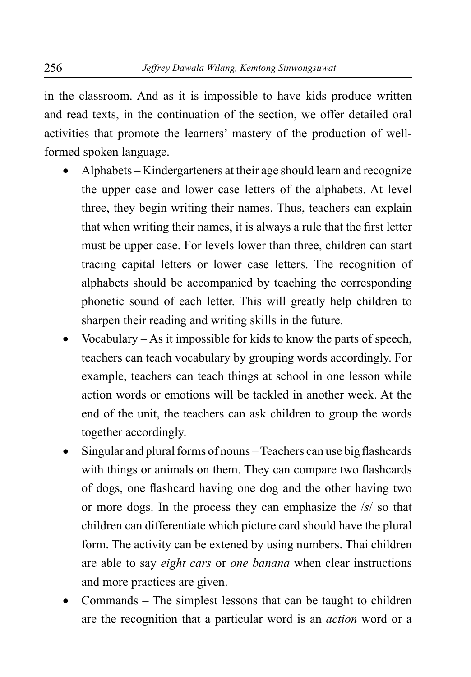in the classroom. And as it is impossible to have kids produce written and read texts, in the continuation of the section, we offer detailed oral activities that promote the learners' mastery of the production of wellformed spoken language.

- Alphabets Kindergarteners at their age should learn and recognize the upper case and lower case letters of the alphabets. At level three, they begin writing their names. Thus, teachers can explain that when writing their names, it is always a rule that the first letter must be upper case. For levels lower than three, children can start tracing capital letters or lower case letters. The recognition of alphabets should be accompanied by teaching the corresponding phonetic sound of each letter. This will greatly help children to sharpen their reading and writing skills in the future.
- Vocabulary  $-As$  it impossible for kids to know the parts of speech, teachers can teach vocabulary by grouping words accordingly. For example, teachers can teach things at school in one lesson while action words or emotions will be tackled in another week. At the end of the unit, the teachers can ask children to group the words together accordingly.
- Singular and plural forms of nouns Teachers can use big flashcards with things or animals on them. They can compare two flashcards of dogs, one flashcard having one dog and the other having two or more dogs. In the process they can emphasize the /*s*/ so that children can differentiate which picture card should have the plural form. The activity can be extened by using numbers. Thai children are able to say *eight cars* or *one banana* when clear instructions and more practices are given.
- Commands The simplest lessons that can be taught to children are the recognition that a particular word is an *action* word or a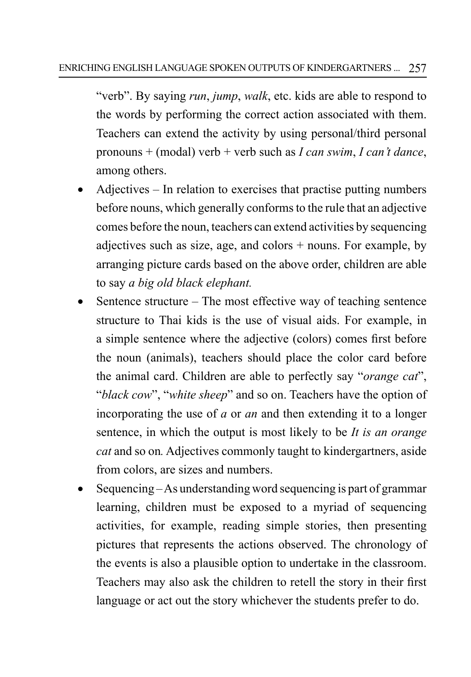"verb". By saying *run*, *jump*, *walk*, etc. kids are able to respond to the words by performing the correct action associated with them. Teachers can extend the activity by using personal/third personal pronouns + (modal) verb + verb such as *I can swim*, *I can't dance*, among others.

- Adjectives  $-$  In relation to exercises that practise putting numbers before nouns, which generally conforms to the rule that an adjective comes before the noun, teachers can extend activities by sequencing adjectives such as size, age, and colors + nouns. For example, by arranging picture cards based on the above order, children are able to say *a big old black elephant.*
- Sentence structure The most effective way of teaching sentence structure to Thai kids is the use of visual aids. For example, in a simple sentence where the adjective (colors) comes first before the noun (animals), teachers should place the color card before the animal card. Children are able to perfectly say "*orange cat*", "*black cow*", "*white sheep*" and so on. Teachers have the option of incorporating the use of *a* or *an* and then extending it to a longer sentence, in which the output is most likely to be *It is an orange cat* and so on*.* Adjectives commonly taught to kindergartners, aside from colors, are sizes and numbers.
- Sequencing As understanding word sequencing is part of grammar learning, children must be exposed to a myriad of sequencing activities, for example, reading simple stories, then presenting pictures that represents the actions observed. The chronology of the events is also a plausible option to undertake in the classroom. Teachers may also ask the children to retell the story in their first language or act out the story whichever the students prefer to do.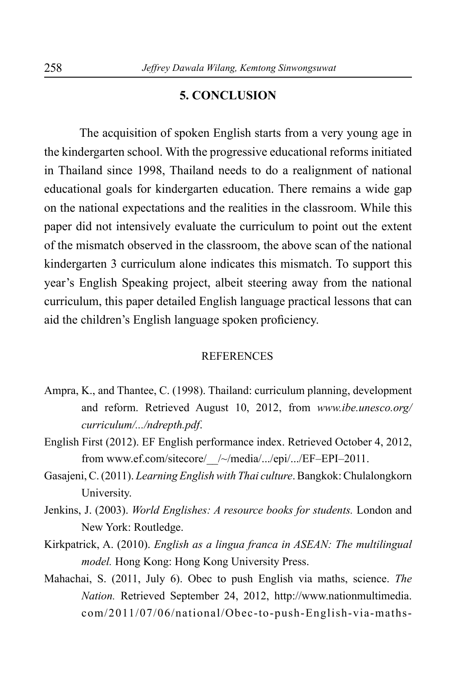### **5. CONCLUSION**

The acquisition of spoken English starts from a very young age in the kindergarten school. With the progressive educational reforms initiated in Thailand since 1998, Thailand needs to do a realignment of national educational goals for kindergarten education. There remains a wide gap on the national expectations and the realities in the classroom. While this paper did not intensively evaluate the curriculum to point out the extent of the mismatch observed in the classroom, the above scan of the national kindergarten 3 curriculum alone indicates this mismatch. To support this year's English Speaking project, albeit steering away from the national curriculum, this paper detailed English language practical lessons that can aid the children's English language spoken proficiency.

#### **REFERENCES**

- Ampra, K., and Thantee, C. (1998). Thailand: curriculum planning, development and reform. Retrieved August 10, 2012, from *[www.ibe.unesco.org/](http://www.ibe.unesco.org/curriculum/.../ndrepth.pdf) [curriculum/.../ndrepth.pdf](http://www.ibe.unesco.org/curriculum/.../ndrepth.pdf)*.
- English First (2012). EF English performance index. Retrieved October 4, 2012, from www.ef.com/sitecore/\_\_/~/media/.../epi/.../EF–EPI–2011.
- Gasajeni, C. (2011). *Learning English with Thai culture*.Bangkok: Chulalongkorn University.
- Jenkins, J. (2003). *World Englishes: A resource books for students.* London and New York: Routledge.
- Kirkpatrick, A. (2010). *English as a lingua franca in ASEAN: The multilingual model.* Hong Kong: Hong Kong University Press.
- Mahachai, S. (2011, July 6). Obec to push English via maths, science. *The Nation.* Retrieved September 24, 2012, http://www.nationmultimedia. com/2011/07/06/national/Obec-to-push-English-via-maths-